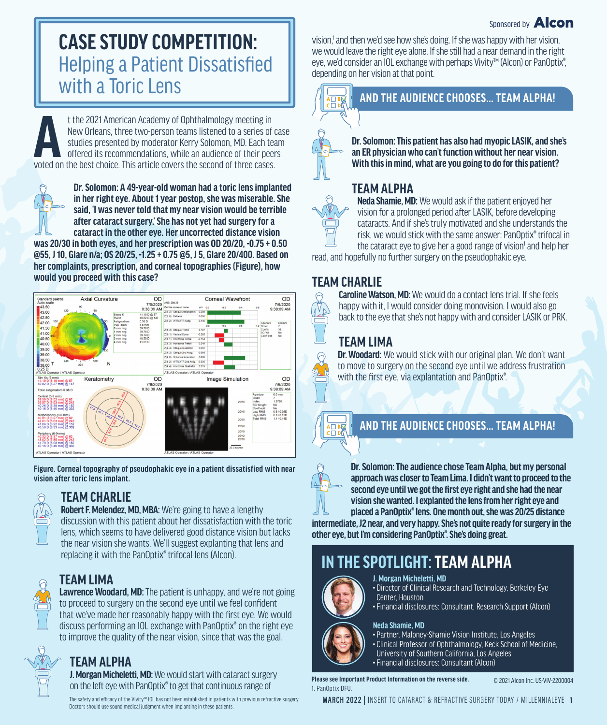#### Sponsored by **Alcon**

# **CASE STUDY COMPETITION:**  Helping a Patient Dissatisfied with a Toric Lens

t the 2021 American Academy of Ophthalmology meeting in<br>
New Orleans, three two-person teams listened to a series of<br>
studies presented by moderator Kerry Solomon, MD. Each te<br>
offered its recommendations, while an audienc New Orleans, three two-person teams listened to a series of case studies presented by moderator Kerry Solomon, MD. Each team offered its recommendations, while an audience of their peers voted on the best choice. This article covers the second of three cases.

**Dr. Solomon: A 49-year-old woman had a toric lens implanted in her right eye. About 1 year postop, she was miserable. She said, 'I was never told that my near vision would be terrible after cataract surgery.' She has not yet had surgery for a cataract in the other eye. Her uncorrected distance vision** 

**was 20/30 in both eyes, and her prescription was OD 20/20, -0.75 + 0.50 @55, J 10, Glare n/a; OS 20/25, -1.25 + 0.75 @5, J 5, Glare 20/400. Based on her complaints, prescription, and corneal topographies (Figure), how would you proceed with this case?** 



**Figure. Corneal topography of pseudophakic eye in a patient dissatisfied with near vision after toric lens implant.** 

## **TEAM CHARLIE**

**Robert F. Melendez, MD, MBA:** We're going to have a lengthy discussion with this patient about her dissatisfaction with the toric lens, which seems to have delivered good distance vision but lacks the near vision she wants. We'll suggest explanting that lens and replacing it with the PanOptix® trifocal lens (Alcon).

## **TEAM LIMA**

**Lawrence Woodard, MD:** The patient is unhappy, and we're not going to proceed to surgery on the second eye until we feel confident that we've made her reasonably happy with the first eye. We would discuss performing an IOL exchange with PanOptix® on the right eye to improve the quality of the near vision, since that was the goal.

## **TEAM ALPHA**

**J. Morgan Micheletti, MD:** We would start with cataract surgery on the left eye with PanOptix® to get that continuous range of

The safety and efficacy of the Vivity™ IOL has not been established in patients with previous refractive surgery. Doctors should use sound medical judgment when implanting in these patients.

vision,<sup>1</sup> and then we'd see how she's doing. If she was happy with her vision, we would leave the right eye alone. If she still had a near demand in the right eye, we'd consider an IOL exchange with perhaps Vivity™ (Alcon) or PanOptix®, depending on her vision at that point.



#### **AND THE AUDIENCE CHOOSES… TEAM ALPHA!**

**Dr. Solomon: This patient has also had myopic LASIK, and she's an ER physician who can't function without her near vision. With this in mind, what are you going to do for this patient?** 

## **TEAM ALPHA**

**Neda Shamie, MD:** We would ask if the patient enjoyed her vision for a prolonged period after LASIK, before developing cataracts. And if she's truly motivated and she understands the risk, we would stick with the same answer: PanOptix® trifocal in the cataract eye to give her a good range of vision<sup>1</sup> and help her

read, and hopefully no further surgery on the pseudophakic eye.

## **TEAM CHARLIE**

 $\Theta$ 

**Caroline Watson, MD:** We would do a contact lens trial. If she feels happy with it, I would consider doing monovision. I would also go back to the eye that she's not happy with and consider LASIK or PRK.

## **TEAM LIMA**

**Dr. Woodard:** We would stick with our original plan. We don't want to move to surgery on the second eye until we address frustration with the first eye, via explantation and PanOptix®.

## **AND THE AUDIENCE CHOOSES… TEAM ALPHA!**



日報

**Dr. Solomon: The audience chose Team Alpha, but my personal approach was closer to Team Lima. I didn't want to proceed to the second eye until we got the first eye right and she had the near vision she wanted. I explanted the lens from her right eye and placed a PanOptix® lens. One month out, she was 20/25 distance** 

**intermediate, J2 near, and very happy. She's not quite ready for surgery in the other eye, but I'm considering PanOptix®. She's doing great.**

# **IN THE SPOTLIGHT: TEAM ALPHA**



#### **J. Morgan Micheletti, MD**

• Director of Clinical Research and Technology, Berkeley Eye Center, Houston

• Financial disclosures: Consultant, Research Support (Alcon)

#### **Neda Shamie, MD**

• Partner, Maloney-Shamie Vision Institute, Los Angeles • Clinical Professor of Ophthalmology, Keck School of Medicine, University of Southern California, Los Angeles • Financial disclosures: Consultant (Alcon)

**Please see Important Product Information on the reverse side.** 1. PanOntix DFU. © 2021 Alcon Inc. US-VIV-2200004

**MARCH 2022 |** INSERT TO CATARACT & REFRACTIVE SURGERY TODAY / MILLENNIALEYE **1**